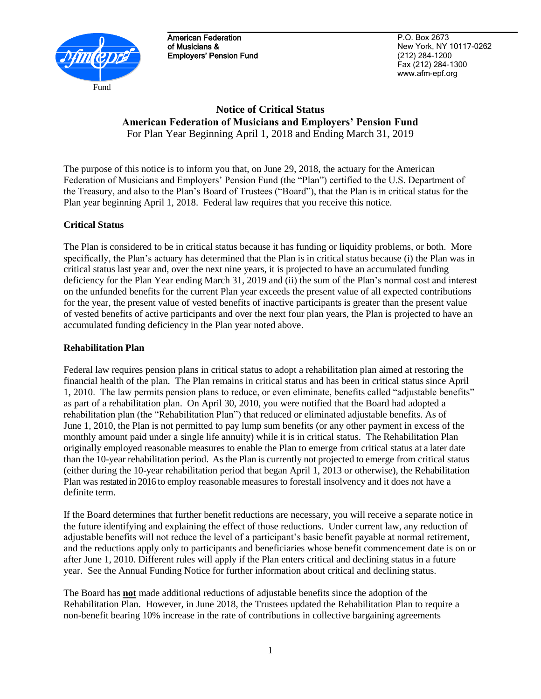

American Federation of Musicians & Employers' Pension Fund

P.O. Box 2673 New York, NY 10117-0262 (212) 284-1200 Fax (212) 284-1300 www.afm-epf.org

# **Notice of Critical Status American Federation of Musicians and Employers' Pension Fund** For Plan Year Beginning April 1, 2018 and Ending March 31, 2019

The purpose of this notice is to inform you that, on June 29, 2018, the actuary for the American Federation of Musicians and Employers' Pension Fund (the "Plan") certified to the U.S. Department of the Treasury, and also to the Plan's Board of Trustees ("Board"), that the Plan is in critical status for the Plan year beginning April 1, 2018. Federal law requires that you receive this notice.

## **Critical Status**

The Plan is considered to be in critical status because it has funding or liquidity problems, or both. More specifically, the Plan's actuary has determined that the Plan is in critical status because (i) the Plan was in critical status last year and, over the next nine years, it is projected to have an accumulated funding deficiency for the Plan Year ending March 31, 2019 and (ii) the sum of the Plan's normal cost and interest on the unfunded benefits for the current Plan year exceeds the present value of all expected contributions for the year, the present value of vested benefits of inactive participants is greater than the present value of vested benefits of active participants and over the next four plan years, the Plan is projected to have an accumulated funding deficiency in the Plan year noted above.

### **Rehabilitation Plan**

Federal law requires pension plans in critical status to adopt a rehabilitation plan aimed at restoring the financial health of the plan. The Plan remains in critical status and has been in critical status since April 1, 2010. The law permits pension plans to reduce, or even eliminate, benefits called "adjustable benefits" as part of a rehabilitation plan. On April 30, 2010, you were notified that the Board had adopted a rehabilitation plan (the "Rehabilitation Plan") that reduced or eliminated adjustable benefits. As of June 1, 2010, the Plan is not permitted to pay lump sum benefits (or any other payment in excess of the monthly amount paid under a single life annuity) while it is in critical status. The Rehabilitation Plan originally employed reasonable measures to enable the Plan to emerge from critical status at a later date than the 10-year rehabilitation period. As the Plan is currently not projected to emerge from critical status (either during the 10-year rehabilitation period that began April 1, 2013 or otherwise), the Rehabilitation Plan was restated in 2016 to employ reasonable measures to forestall insolvency and it does not have a definite term.

If the Board determines that further benefit reductions are necessary, you will receive a separate notice in the future identifying and explaining the effect of those reductions. Under current law, any reduction of adjustable benefits will not reduce the level of a participant's basic benefit payable at normal retirement, and the reductions apply only to participants and beneficiaries whose benefit commencement date is on or after June 1, 2010. Different rules will apply if the Plan enters critical and declining status in a future year. See the Annual Funding Notice for further information about critical and declining status.

The Board has **not** made additional reductions of adjustable benefits since the adoption of the Rehabilitation Plan. However, in June 2018, the Trustees updated the Rehabilitation Plan to require a non-benefit bearing 10% increase in the rate of contributions in collective bargaining agreements